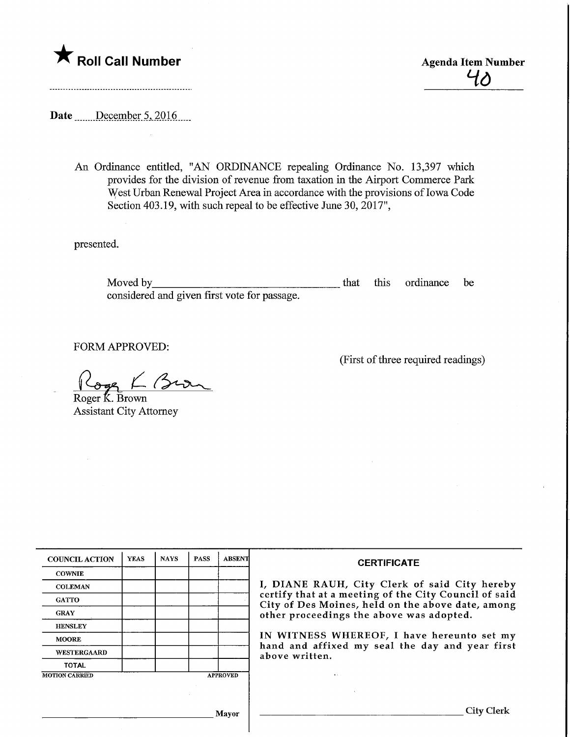**Agenda Item Number Agenda Item Number** 

 $40$ 

Date <u>December 5, 2016</u>.

...................................

An Ordinance entitled, "AN ORDINANCE repealing Ordinance No. 13,397 which provides for the division of revenue from taxation in the Airport Commerce Park West Urban Renewal Project Area in accordance with the provisions of Iowa Code Section 403.19, with such repeal to be effective June 30, 2017",

presented.

Moved by that this ordinance be considered and given first vote for passage.

FORM APPROVED:

 $\sigma$ ge  $\Gamma$  Brown Roger K. Brown

Assistant City Attorney

| <b>COUNCIL ACTION</b> | <b>YEAS</b> | <b>NAYS</b> | <b>PASS</b> | <b>ABSENT</b>   | <b>CERTIFICATE</b><br>I, DIANE RAUH, City Clerk of said City hereby<br>certify that at a meeting of the City Council of said<br>City of Des Moines, held on the above date, among<br>other proceedings the above was adopted.<br>IN WITNESS WHEREOF, I have hereunto set my<br>hand and affixed my seal the day and year first<br>above written. |
|-----------------------|-------------|-------------|-------------|-----------------|--------------------------------------------------------------------------------------------------------------------------------------------------------------------------------------------------------------------------------------------------------------------------------------------------------------------------------------------------|
| <b>COWNIE</b>         |             |             |             |                 |                                                                                                                                                                                                                                                                                                                                                  |
| <b>COLEMAN</b>        |             |             |             |                 |                                                                                                                                                                                                                                                                                                                                                  |
| <b>GATTO</b>          |             |             |             |                 |                                                                                                                                                                                                                                                                                                                                                  |
| <b>GRAY</b>           |             |             |             |                 |                                                                                                                                                                                                                                                                                                                                                  |
| <b>HENSLEY</b>        |             |             |             |                 |                                                                                                                                                                                                                                                                                                                                                  |
| <b>MOORE</b>          |             |             |             |                 |                                                                                                                                                                                                                                                                                                                                                  |
| WESTERGAARD           |             |             |             |                 |                                                                                                                                                                                                                                                                                                                                                  |
| <b>TOTAL</b>          |             |             |             |                 |                                                                                                                                                                                                                                                                                                                                                  |
| <b>MOTION CARRIED</b> |             |             |             | <b>APPROVED</b> |                                                                                                                                                                                                                                                                                                                                                  |
|                       |             |             |             |                 |                                                                                                                                                                                                                                                                                                                                                  |
|                       |             |             |             | Mayor           | City                                                                                                                                                                                                                                                                                                                                             |

(First of three required readings)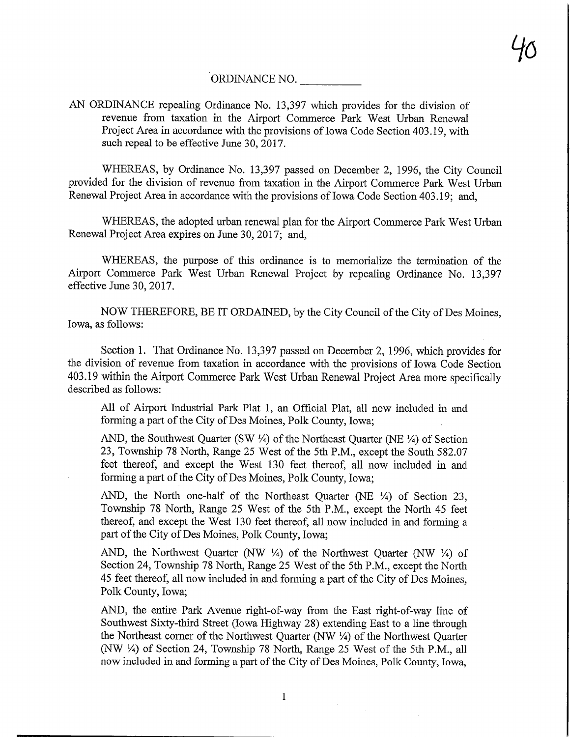## ORDINANCE NO.

AN ORDINANCE repealing Ordinance No. 13,397 which provides for the division of revenue from taxation in the Airport Commerce Park West Urban Renewal Project Area in accordance with the provisions of Iowa Code Section 403.19, with such repeal to be effective June 30,2017.

WHEREAS, by Ordinance No. 13,397 passed on December 2, 1996, the City Council provided for the division of revenue from taxation in the Airport Commerce Park West Urban Renewal Project Area in accordance with the provisions of Iowa Code Section 403.19; and,

WHEREAS, the adopted urban renewal plan for the Airport Commerce Park West Urban Renewal Project Area expires on June 30, 2017; and,

WHEREAS, the purpose of this ordinance is to memorialize the termination of the Airport Commerce Park West Urban Renewal Project by repealing Ordinance No. 13,397 effective June 30, 2017.

NOW THEREFORE, BE IT ORDAINED, by the City Council of the City of Des Moines, Iowa, as follows:

Section 1. That Ordinance No. 13,397 passed on December 2, 1996, which provides for the division of revenue from taxation in accordance with the provisions of Iowa Code Section 403.19 within the Airport Commerce Park West Urban Renewal Project Area more specifically described as follows:

All of Airport Industrial Park Plat 1, an Official Plat, all now included in and forming a part of the City of Des Moines, Polk County, Iowa;

AND, the Southwest Quarter (SW  $\frac{1}{4}$ ) of the Northeast Quarter (NE  $\frac{1}{4}$ ) of Section 23, Township 78 North, Range 25 West of the 5th P.M., except the South 582.07 feet thereof, and except the West 130 feet thereof, all now included in and forming a part of the City of Des Moines, Polk County, Iowa;

AND, the North one-half of the Northeast Quarter (NE %) of Section 23, Township 78 North, Range 25 West of the 5th P.M., except the North 45 feet thereof, and except the West 130 feet thereof, all now included in and forming a part of the City of Des Moines, Polk County, Iowa;

AND, the Northwest Quarter (NW  $\frac{1}{4}$ ) of the Northwest Quarter (NW  $\frac{1}{4}$ ) of Section 24, Township 78 North, Range 25 West of the 5th P.M., except the North 45 feet thereof, all now included in and forming a part of the City of Des Moines, Polk County, Iowa;

AND, the entire Park Avenue right-of-way from the East right-of-way line of Southwest Sixty-third Street (Iowa Highway 28) extending East to a line through the Northeast corner of the Northwest Quarter (NW  $\frac{1}{4}$ ) of the Northwest Quarter (NW 1/4) of Section 24, Township 78 North, Range 25 West of the 5th P.M., all now included in and forming a part of the City of Des Moines, Polk County, Iowa,